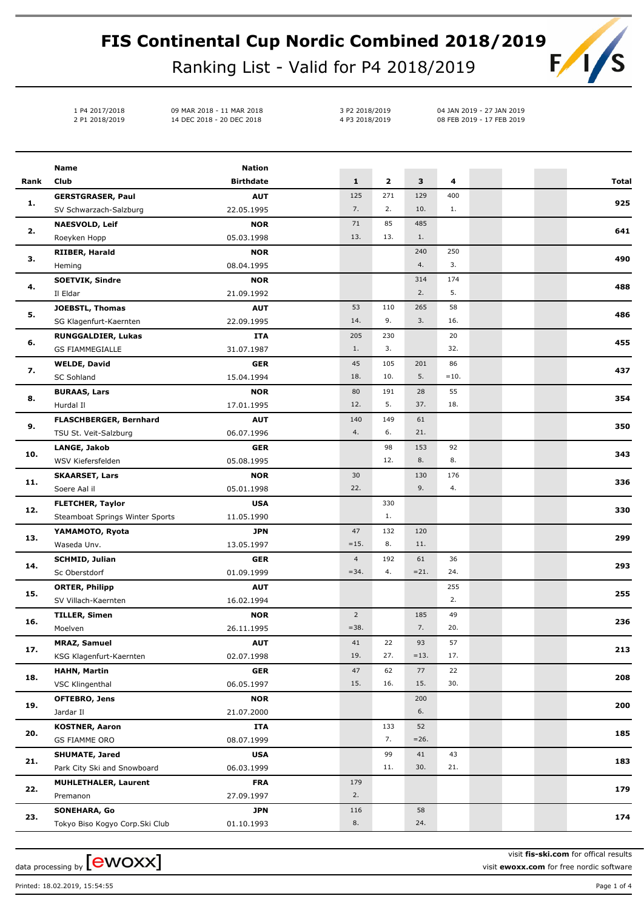## **FIS Continental Cup Nordic Combined 2018/2019**  $F/I$

Ranking List - Valid for P4 2018/2019

1 P4 2017/2018 09 MAR 2018 - 11 MAR 2018 2 P1 2018/2019 14 DEC 2018 - 20 DEC 2018

3 P2 2018/2019 04 JAN 2019 - 27 JAN 2019 4 P3 2018/2019 08 FEB 2019 - 17 FEB 2019

|            | Name                            | <b>Nation</b>    |                |              |         |        |  |              |
|------------|---------------------------------|------------------|----------------|--------------|---------|--------|--|--------------|
| Rank       | Club                            | <b>Birthdate</b> | $\mathbf{1}$   | $\mathbf{2}$ | 3       | 4      |  | <b>Total</b> |
|            | <b>GERSTGRASER, Paul</b>        | <b>AUT</b>       | 125            | 271          | 129     | 400    |  |              |
| 1.         | SV Schwarzach-Salzburg          | 22.05.1995       | 7.             | 2.           | 10.     | 1.     |  | 925          |
| 2.         | <b>NAESVOLD, Leif</b>           | <b>NOR</b>       | 71             | 85           | 485     |        |  |              |
|            | Roeyken Hopp                    | 05.03.1998       | 13.            | 13.          | 1.      |        |  | 641          |
| з.         | RIIBER, Harald                  | <b>NOR</b>       |                |              | 240     | 250    |  |              |
|            | Heming                          | 08.04.1995       |                |              | 4.      | 3.     |  | 490          |
|            | <b>SOETVIK, Sindre</b>          | <b>NOR</b>       |                |              | 314     | 174    |  |              |
| 4.         | Il Eldar                        | 21.09.1992       |                |              | 2.      | 5.     |  | 488          |
|            | <b>JOEBSTL, Thomas</b>          | <b>AUT</b>       | 53             | 110          | 265     | 58     |  |              |
| 5.         | SG Klagenfurt-Kaernten          | 22.09.1995       | 14.            | 9.           | 3.      | 16.    |  | 486          |
| 6.         | <b>RUNGGALDIER, Lukas</b>       | <b>ITA</b>       | 205            | 230          |         | 20     |  | 455          |
|            | <b>GS FIAMMEGIALLE</b>          | 31.07.1987       | 1.             | 3.           |         | 32.    |  |              |
| 7.         | <b>WELDE, David</b>             | <b>GER</b>       | 45             | 105          | 201     | 86     |  | 437          |
|            | <b>SC Sohland</b>               | 15.04.1994       | 18.            | 10.          | 5.      | $=10.$ |  |              |
| 8.         | <b>BURAAS, Lars</b>             | <b>NOR</b>       | 80             | 191          | 28      | 55     |  | 354          |
|            | Hurdal II                       | 17.01.1995       | 12.            | 5.           | 37.     | 18.    |  |              |
| 9.         | FLASCHBERGER, Bernhard          | <b>AUT</b>       | 140            | 149          | 61      |        |  | 350          |
|            | TSU St. Veit-Salzburg           | 06.07.1996       | 4.             | 6.           | 21.     |        |  |              |
| 10.<br>11. | LANGE, Jakob                    | <b>GER</b>       |                | 98           | 153     | 92     |  | 343          |
|            | WSV Kiefersfelden               | 05.08.1995       |                | 12.          | 8.      | 8.     |  |              |
|            | <b>SKAARSET, Lars</b>           | <b>NOR</b>       | 30             |              | 130     | 176    |  | 336          |
|            | Soere Aal il                    | 05.01.1998       | 22.            |              | 9.      | 4.     |  |              |
| 12.        | <b>FLETCHER, Taylor</b>         | <b>USA</b>       |                | 330          |         |        |  | 330          |
|            | Steamboat Springs Winter Sports | 11.05.1990       |                | 1.           |         |        |  |              |
| 13.        | YAMAMOTO, Ryota                 | <b>JPN</b>       | 47             | 132          | 120     |        |  | 299          |
|            | Waseda Unv.                     | 13.05.1997       | $=15.$         | 8.           | 11.     |        |  |              |
| 14.        | <b>SCHMID, Julian</b>           | <b>GER</b>       | $\overline{4}$ | 192          | 61      | 36     |  | 293          |
|            | Sc Oberstdorf                   | 01.09.1999       | $= 34.$        | 4.           | $= 21.$ | 24.    |  |              |
| 15.        | <b>ORTER, Philipp</b>           | <b>AUT</b>       |                |              |         | 255    |  | 255          |
|            | SV Villach-Kaernten             | 16.02.1994       |                |              |         | 2.     |  |              |
| 16.        | <b>TILLER, Simen</b>            | <b>NOR</b>       | $\overline{2}$ |              | 185     | 49     |  | 236          |
|            | Moelven                         | 26.11.1995       | $=38.$         |              | 7.      | 20.    |  |              |
| 17.        | <b>MRAZ, Samuel</b>             | <b>AUT</b>       | 41             | 22           | 93      | 57     |  | 213          |
|            | KSG Klagenfurt-Kaernten         | 02.07.1998       | 19.            | 27.          | $=13.$  | 17.    |  |              |
| 18.        | <b>HAHN, Martin</b>             | <b>GER</b>       | 47             | 62           | 77      | 22     |  | 208          |
|            | VSC Klingenthal                 | 06.05.1997       | 15.            | 16.          | 15.     | 30.    |  |              |
| 19.        | OFTEBRO, Jens                   | <b>NOR</b>       |                |              | 200     |        |  | 200          |
|            | Jardar II                       | 21.07.2000       |                |              | 6.      |        |  |              |
| 20.        | <b>KOSTNER, Aaron</b>           | ITA              |                | 133          | 52      |        |  | 185          |
|            | GS FIAMME ORO                   | 08.07.1999       |                | 7.           | $= 26.$ |        |  |              |
| 21.        | <b>SHUMATE, Jared</b>           | <b>USA</b>       |                | 99           | 41      | 43     |  | 183          |
|            | Park City Ski and Snowboard     | 06.03.1999       |                | 11.          | 30.     | 21.    |  |              |
| 22.        | <b>MUHLETHALER, Laurent</b>     | <b>FRA</b>       | 179            |              |         |        |  | 179          |
|            | Premanon                        | 27.09.1997       | 2.             |              |         |        |  |              |
| 23.        | <b>SONEHARA, Go</b>             | <b>JPN</b>       | 116            |              | 58      |        |  | 174          |
|            | Tokyo Biso Kogyo Corp.Ski Club  | 01.10.1993       | 8.             |              | 24.     |        |  |              |

Printed: 18.02.2019, 15:54:55 Page 1 of 4

data processing by  ${\rm [ewoxx]}$ 

visit **fis-ski.com** for offical results visit **ewoxx.com** for free nordic software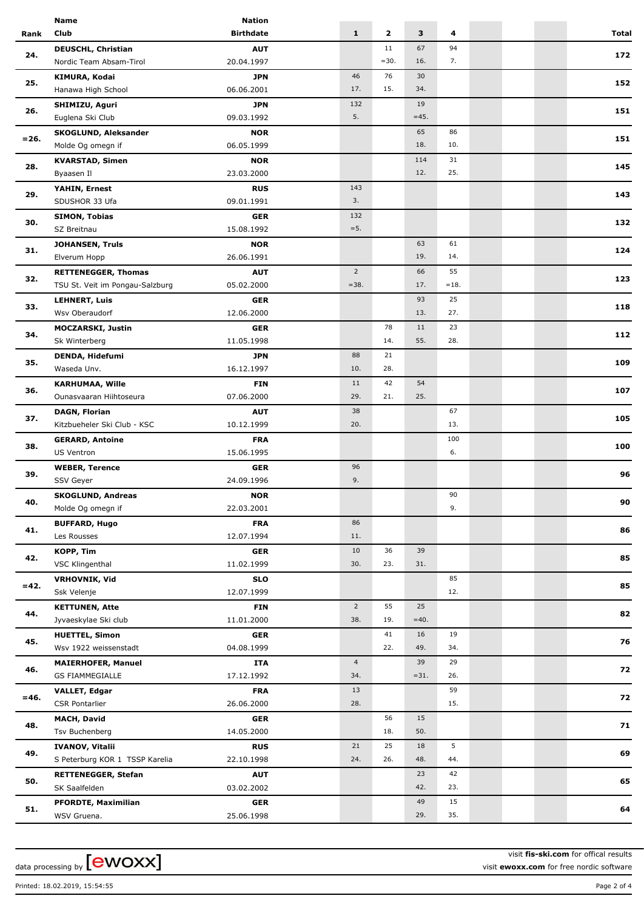|         | Name                                                | Nation                   |                       |                         |              |           |  |              |
|---------|-----------------------------------------------------|--------------------------|-----------------------|-------------------------|--------------|-----------|--|--------------|
| Rank    | Club                                                | <b>Birthdate</b>         | $\mathbf{1}$          | $\overline{\mathbf{2}}$ | 3            | 4         |  | <b>Total</b> |
| 24.     | <b>DEUSCHL, Christian</b>                           | <b>AUT</b>               |                       | 11                      | 67           | 94        |  |              |
|         | Nordic Team Absam-Tirol                             | 20.04.1997               |                       | $=30.$                  | 16.          | 7.        |  | 172          |
|         | KIMURA, Kodai                                       | <b>JPN</b>               | 46                    | 76                      | 30           |           |  |              |
| 25.     | Hanawa High School                                  | 06.06.2001               | 17.                   | 15.                     | 34.          |           |  | 152          |
|         | SHIMIZU, Aguri                                      | <b>JPN</b>               | 132                   |                         | 19           |           |  |              |
| 26.     | Euglena Ski Club                                    | 09.03.1992               | 5.                    |                         | $=45.$       |           |  | 151          |
|         | <b>SKOGLUND, Aleksander</b>                         | <b>NOR</b>               |                       |                         | 65           | 86        |  |              |
| $= 26.$ | Molde Og omegn if                                   | 06.05.1999               |                       |                         | 18.          | 10.       |  | 151          |
|         |                                                     |                          |                       |                         |              |           |  |              |
| 28.     | <b>KVARSTAD, Simen</b>                              | <b>NOR</b>               |                       |                         | 114<br>12.   | 31<br>25. |  | 145          |
|         | Byaasen Il                                          | 23.03.2000               |                       |                         |              |           |  |              |
| 29.     | YAHIN, Ernest                                       | <b>RUS</b>               | 143                   |                         |              |           |  | 143          |
|         | SDUSHOR 33 Ufa                                      | 09.01.1991               | 3.                    |                         |              |           |  |              |
| 30.     | <b>SIMON, Tobias</b>                                | <b>GER</b>               | 132                   |                         |              |           |  | 132          |
|         | SZ Breitnau                                         | 15.08.1992               | $=5.$                 |                         |              |           |  |              |
| 31.     | <b>JOHANSEN, Truls</b>                              | <b>NOR</b>               |                       |                         | 63           | 61        |  | 124          |
|         | Elverum Hopp                                        | 26.06.1991               |                       |                         | 19.          | 14.       |  |              |
| 32.     | <b>RETTENEGGER, Thomas</b>                          | <b>AUT</b>               | $\overline{2}$        |                         | 66           | 55        |  | 123          |
|         | TSU St. Veit im Pongau-Salzburg                     | 05.02.2000               | $= 38.$               |                         | 17.          | $=18.$    |  |              |
| 33.     | <b>LEHNERT, Luis</b>                                | <b>GER</b>               |                       |                         | 93           | 25        |  | 118          |
|         | Wsv Oberaudorf                                      | 12.06.2000               |                       |                         | 13.          | 27.       |  |              |
|         | <b>MOCZARSKI, Justin</b>                            | <b>GER</b>               |                       | 78                      | 11           | 23        |  |              |
| 34.     | Sk Winterberg                                       | 11.05.1998               |                       | 14.                     | 55.          | 28.       |  | 112          |
|         | DENDA, Hidefumi                                     | <b>JPN</b>               | 88                    | 21                      |              |           |  |              |
| 35.     | Waseda Unv.                                         | 16.12.1997               | 10.                   | 28.                     |              |           |  | 109          |
|         | <b>KARHUMAA, Wille</b>                              | <b>FIN</b>               | 11                    | 42                      | 54           |           |  |              |
| 36.     | Ounasvaaran Hiihtoseura                             | 07.06.2000               | 29.                   | 21.                     | 25.          |           |  | 107          |
|         | <b>DAGN, Florian</b>                                | <b>AUT</b>               | 38                    |                         |              | 67        |  |              |
| 37.     | Kitzbueheler Ski Club - KSC                         | 10.12.1999               | 20.                   |                         |              | 13.       |  | 105          |
|         | <b>GERARD, Antoine</b>                              | <b>FRA</b>               |                       |                         |              | 100       |  |              |
| 38.     | <b>US Ventron</b>                                   | 15.06.1995               |                       |                         |              | 6.        |  | 100          |
|         | <b>WEBER, Terence</b>                               | GER                      | 96                    |                         |              |           |  |              |
| 39.     | SSV Geyer                                           | 24.09.1996               | 9.                    |                         |              |           |  | 96           |
|         | <b>SKOGLUND, Andreas</b>                            | <b>NOR</b>               |                       |                         |              | 90        |  |              |
| 40.     | Molde Og omegn if                                   | 22.03.2001               |                       |                         |              | 9.        |  | 90           |
|         | <b>BUFFARD, Hugo</b>                                | <b>FRA</b>               | 86                    |                         |              |           |  |              |
| 41.     | Les Rousses                                         | 12.07.1994               | 11.                   |                         |              |           |  | 86           |
|         | KOPP, Tim                                           | <b>GER</b>               | 10                    | 36                      | 39           |           |  |              |
| 42.     | VSC Klingenthal                                     | 11.02.1999               | 30.                   | 23.                     | 31.          |           |  | 85           |
|         |                                                     |                          |                       |                         |              | 85        |  |              |
| $=42.$  | <b>VRHOVNIK, Vid</b><br>Ssk Velenje                 | <b>SLO</b><br>12.07.1999 |                       |                         |              | 12.       |  | 85           |
|         |                                                     |                          | $2^{\circ}$           | 55                      | 25           |           |  |              |
| 44.     | <b>KETTUNEN, Atte</b><br>Jyvaeskylae Ski club       | <b>FIN</b><br>11.01.2000 | 38.                   | 19.                     | $=40.$       |           |  | 82           |
|         |                                                     |                          |                       |                         |              |           |  |              |
| 45.     | <b>HUETTEL, Simon</b><br>Wsv 1922 weissenstadt      | <b>GER</b><br>04.08.1999 |                       | 41<br>22.               | 16<br>49.    | 19<br>34. |  | 76           |
|         |                                                     |                          |                       |                         |              |           |  |              |
| 46.     | <b>MAIERHOFER, Manuel</b><br><b>GS FIAMMEGIALLE</b> | <b>ITA</b>               | $\overline{4}$<br>34. |                         | 39<br>$=31.$ | 29<br>26. |  | 72           |
|         |                                                     | 17.12.1992               |                       |                         |              |           |  |              |
| $= 46.$ | <b>VALLET, Edgar</b>                                | <b>FRA</b>               | 13<br>28.             |                         |              | 59<br>15. |  | 72           |
|         | <b>CSR Pontarlier</b>                               | 26.06.2000               |                       |                         |              |           |  |              |
| 48.     | <b>MACH, David</b>                                  | <b>GER</b>               |                       | 56                      | 15           |           |  | 71           |
|         | Tsv Buchenberg                                      | 14.05.2000               |                       | 18.                     | 50.          |           |  |              |
| 49.     | <b>IVANOV, Vitalii</b>                              | <b>RUS</b>               | 21                    | 25                      | 18           | 5         |  | 69           |
|         | S Peterburg KOR 1 TSSP Karelia                      | 22.10.1998               | 24.                   | 26.                     | 48.          | 44.       |  |              |
| 50.     | <b>RETTENEGGER, Stefan</b>                          | <b>AUT</b>               |                       |                         | 23           | 42        |  | 65           |
|         | SK Saalfelden                                       | 03.02.2002               |                       |                         | 42.          | 23.       |  |              |
| 51.     | <b>PFORDTE, Maximilian</b>                          | <b>GER</b>               |                       |                         | 49           | 15        |  | 64           |
|         | WSV Gruena.                                         | 25.06.1998               |                       |                         | 29.          | 35.       |  |              |

data processing by **[CWOXX]** 

visit **fis-ski.com** for offical results visit **ewoxx.com** for free nordic software

Printed: 18.02.2019, 15:54:55 Page 2 of 4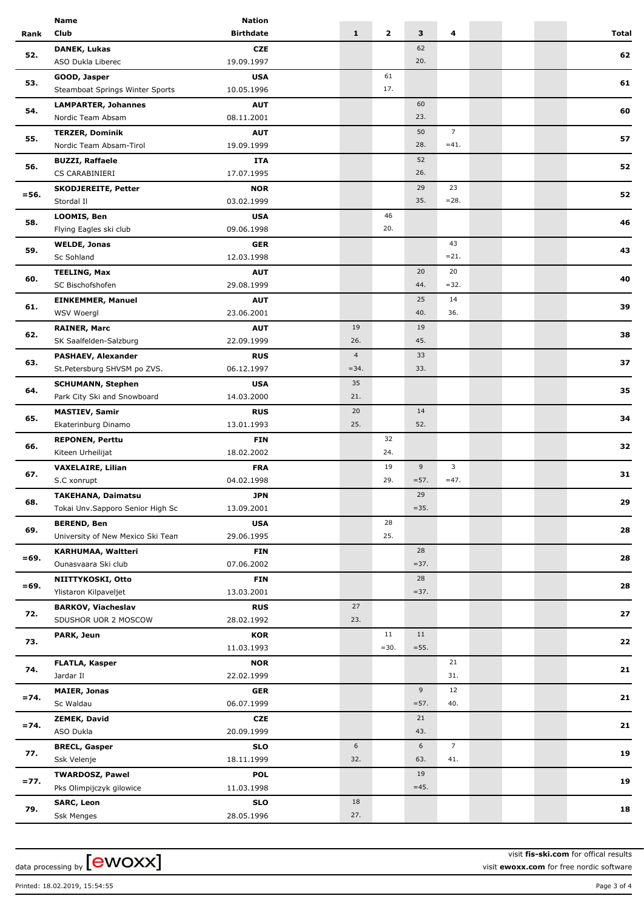|         | <b>Name</b>                                             | <b>Nation</b>    |                |              |         |                 |  |              |
|---------|---------------------------------------------------------|------------------|----------------|--------------|---------|-----------------|--|--------------|
| Rank    | Club                                                    | <b>Birthdate</b> | $\mathbf{1}$   | $\mathbf{2}$ | 3       | 4               |  | <b>Total</b> |
| 52.     | <b>DANEK, Lukas</b>                                     | <b>CZE</b>       |                |              | 62      |                 |  |              |
|         | ASO Dukla Liberec                                       | 19.09.1997       |                |              | 20.     |                 |  | 62           |
|         | GOOD, Jasper                                            | <b>USA</b>       |                | 61           |         |                 |  |              |
| 53.     | Steamboat Springs Winter Sports                         | 10.05.1996       |                | 17.          |         |                 |  | 61           |
|         | <b>LAMPARTER, Johannes</b>                              | <b>AUT</b>       |                |              | 60      |                 |  |              |
| 54.     | Nordic Team Absam                                       | 08.11.2001       |                |              | 23.     |                 |  | 60           |
|         | <b>TERZER, Dominik</b>                                  | <b>AUT</b>       |                |              | 50      | $7^{\circ}$     |  |              |
| 55.     | Nordic Team Absam-Tirol                                 | 19.09.1999       |                |              | 28.     | $=41.$          |  | 57           |
|         |                                                         |                  |                |              |         |                 |  |              |
| 56.     | <b>BUZZI, Raffaele</b>                                  | <b>ITA</b>       |                |              | 52      |                 |  | 52           |
|         | CS CARABINIERI                                          | 17.07.1995       |                |              | 26.     |                 |  |              |
| $= 56.$ | <b>SKODJEREITE, Petter</b>                              | <b>NOR</b>       |                |              | 29      | 23              |  | 52           |
|         | Stordal II                                              | 03.02.1999       |                |              | 35.     | $= 28.$         |  |              |
| 58.     | LOOMIS, Ben                                             | <b>USA</b>       |                | 46           |         |                 |  | 46           |
|         | Flying Eagles ski club                                  | 09.06.1998       |                | 20.          |         |                 |  |              |
| 59.     | <b>WELDE, Jonas</b>                                     | <b>GER</b>       |                |              |         | 43              |  | 43           |
|         | Sc Sohland                                              | 12.03.1998       |                |              |         | $= 21.$         |  |              |
|         | <b>TEELING, Max</b>                                     | <b>AUT</b>       |                |              | 20      | 20              |  |              |
| 60.     | SC Bischofshofen                                        | 29.08.1999       |                |              | 44.     | $=32.$          |  | 40           |
|         | <b>EINKEMMER, Manuel</b>                                | <b>AUT</b>       |                |              | 25      | 14              |  |              |
| 61.     | WSV Woergl                                              | 23.06.2001       |                |              | 40.     | 36.             |  | 39           |
|         | <b>RAINER, Marc</b>                                     | <b>AUT</b>       | 19             |              | 19      |                 |  |              |
| 62.     | SK Saalfelden-Salzburg                                  | 22.09.1999       | 26.            |              | 45.     |                 |  | 38           |
|         | <b>PASHAEV, Alexander</b>                               | <b>RUS</b>       | $\overline{4}$ |              | 33      |                 |  |              |
| 63.     | St.Petersburg SHVSM po ZVS.                             | 06.12.1997       | $= 34.$        |              | 33.     |                 |  | 37           |
|         |                                                         | <b>USA</b>       | 35             |              |         |                 |  |              |
| 64.     | <b>SCHUMANN, Stephen</b><br>Park City Ski and Snowboard | 14.03.2000       | 21.            |              |         |                 |  | 35           |
|         |                                                         |                  |                |              |         |                 |  |              |
| 65.     | <b>MASTIEV, Samir</b>                                   | <b>RUS</b>       | 20             |              | 14      |                 |  | 34           |
|         | Ekaterinburg Dinamo                                     | 13.01.1993       | 25.            |              | 52.     |                 |  |              |
| 66.     | <b>REPONEN, Perttu</b>                                  | <b>FIN</b>       |                | 32           |         |                 |  | 32           |
|         | Kiteen Urheilijat                                       | 18.02.2002       |                | 24.          |         |                 |  |              |
| 67.     | <b>VAXELAIRE, Lilian</b>                                | <b>FRA</b>       |                | 19           | 9       | 3               |  | 31           |
|         | S.C xonrupt                                             | 04.02.1998       |                | 29.          | $= 57.$ | $=47.$          |  |              |
| 68.     | <b>TAKEHANA, Daimatsu</b>                               | <b>JPN</b>       |                |              | 29      |                 |  | 29           |
|         | Tokai Unv.Sapporo Senior High Sc                        | 13.09.2001       |                |              | $=35.$  |                 |  |              |
|         | <b>BEREND, Ben</b>                                      | <b>USA</b>       |                | 28           |         |                 |  |              |
| 69.     | University of New Mexico Ski Tean                       | 29.06.1995       |                | 25.          |         |                 |  | 28           |
|         | KARHUMAA, Waltteri                                      | <b>FIN</b>       |                |              | 28      |                 |  |              |
| $=69.$  | Ounasvaara Ski club                                     | 07.06.2002       |                |              | $= 37.$ |                 |  | 28           |
|         | NIITTYKOSKI, Otto                                       | <b>FIN</b>       |                |              | 28      |                 |  |              |
| $=69.$  | Ylistaron Kilpaveljet                                   | 13.03.2001       |                |              | $= 37.$ |                 |  | 28           |
|         | <b>BARKOV, Viacheslav</b>                               | <b>RUS</b>       | 27             |              |         |                 |  |              |
| 72.     | SDUSHOR UOR 2 MOSCOW                                    | 28.02.1992       | 23.            |              |         |                 |  | 27           |
|         | PARK, Jeun                                              | <b>KOR</b>       |                | 11           | 11      |                 |  |              |
| 73.     |                                                         | 11.03.1993       |                | $=30.$       | $= 55.$ |                 |  | 22           |
|         |                                                         |                  |                |              |         |                 |  |              |
| 74.     | <b>FLATLA, Kasper</b>                                   | <b>NOR</b>       |                |              |         | 21<br>31.       |  | 21           |
|         | Jardar II                                               | 22.02.1999       |                |              |         |                 |  |              |
| $= 74.$ | <b>MAIER, Jonas</b>                                     | <b>GER</b>       |                |              | 9       | 12              |  | 21           |
|         | Sc Waldau                                               | 06.07.1999       |                |              | $= 57.$ | 40.             |  |              |
| $= 74.$ | <b>ZEMEK, David</b>                                     | <b>CZE</b>       |                |              | 21      |                 |  | 21           |
| 77.     | ASO Dukla                                               | 20.09.1999       |                |              | 43.     |                 |  |              |
|         | <b>BRECL, Gasper</b>                                    | <b>SLO</b>       | 6              |              | 6       | $7\overline{ }$ |  | 19           |
|         | Ssk Velenje                                             | 18.11.1999       | 32.            |              | 63.     | 41.             |  |              |
|         | <b>TWARDOSZ, Pawel</b>                                  | <b>POL</b>       |                |              | 19      |                 |  | 19           |
| $= 77.$ | Pks Olimpijczyk gilowice                                | 11.03.1998       |                |              | $=45.$  |                 |  |              |
|         | <b>SARC, Leon</b>                                       | <b>SLO</b>       | 18             |              |         |                 |  |              |
| 79.     | <b>Ssk Menges</b>                                       | 28.05.1996       | 27.            |              |         |                 |  | 18           |
|         |                                                         |                  |                |              |         |                 |  |              |

data processing by **[CWOXX]** 

visit **fis-ski.com** for offical results visit **ewoxx.com** for free nordic software

Printed: 18.02.2019, 15:54:55 Page 3 of 4